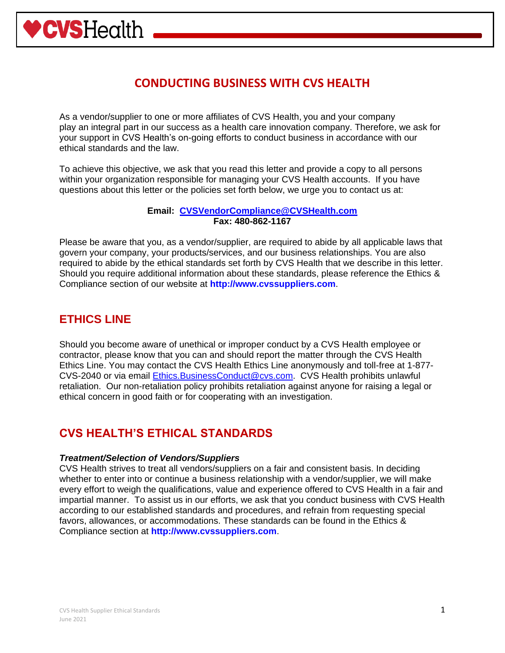

As a vendor/supplier to one or more affiliates of CVS Health, you and your company play an integral part in our success as a health care innovation company. Therefore, we ask for your support in CVS Health's on-going efforts to conduct business in accordance with our ethical standards and the law.

To achieve this objective, we ask that you read this letter and provide a copy to all persons within your organization responsible for managing your CVS Health accounts. If you have questions about this letter or the policies set forth below, we urge you to contact us at:

#### **Email: [CVSVendorCompliance@CVSHealth.com](mailto:CVSVendorCompliance@CVSHealth.com) Fax: 480-862-1167**

Please be aware that you, as a vendor/supplier, are required to abide by all applicable laws that govern your company, your products/services, and our business relationships. You are also required to abide by the ethical standards set forth by CVS Health that we describe in this letter. Should you require additional information about these standards, please reference the Ethics & Compliance section of our website at **http://www.cvssuppliers.com**.

## **ETHICS LINE**

**WSHealth** 

Should you become aware of unethical or improper conduct by a CVS Health employee or contractor, please know that you can and should report the matter through the CVS Health Ethics Line. You may contact the CVS Health Ethics Line anonymously and toll-free at 1-877- CVS-2040 or via email [Ethics.BusinessConduct@cvs.com.](mailto:Ethics.BusinessConduct@cvs.com) CVS Health prohibits unlawful retaliation. Our non-retaliation policy prohibits retaliation against anyone for raising a legal or ethical concern in good faith or for cooperating with an investigation.

### **CVS HEALTH'S ETHICAL STANDARDS**

#### *Treatment/Selection of Vendors/Suppliers*

CVS Health strives to treat all vendors/suppliers on a fair and consistent basis. In deciding whether to enter into or continue a business relationship with a vendor/supplier, we will make every effort to weigh the qualifications, value and experience offered to CVS Health in a fair and impartial manner. To assist us in our efforts, we ask that you conduct business with CVS Health according to our established standards and procedures, and refrain from requesting special favors, allowances, or accommodations. These standards can be found in the Ethics & Compliance section at **http://www.cvssuppliers.com**.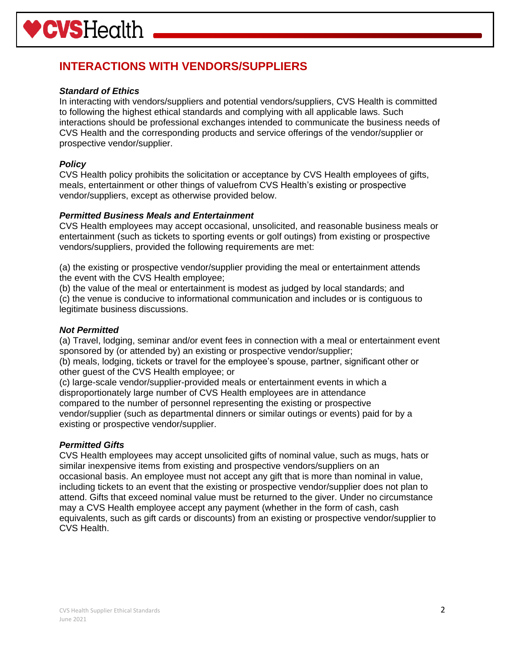## **INTERACTIONS WITH VENDORS/SUPPLIERS**

#### *Standard of Ethics*

In interacting with vendors/suppliers and potential vendors/suppliers, CVS Health is committed to following the highest ethical standards and complying with all applicable laws. Such interactions should be professional exchanges intended to communicate the business needs of CVS Health and the corresponding products and service offerings of the vendor/supplier or prospective vendor/supplier.

#### *Policy*

CVS Health policy prohibits the solicitation or acceptance by CVS Health employees of gifts, meals, entertainment or other things of valuefrom CVS Health's existing or prospective vendor/suppliers, except as otherwise provided below.

#### *Permitted Business Meals and Entertainment*

CVS Health employees may accept occasional, unsolicited, and reasonable business meals or entertainment (such as tickets to sporting events or golf outings) from existing or prospective vendors/suppliers, provided the following requirements are met:

(a) the existing or prospective vendor/supplier providing the meal or entertainment attends the event with the CVS Health employee;

(b) the value of the meal or entertainment is modest as judged by local standards; and (c) the venue is conducive to informational communication and includes or is contiguous to legitimate business discussions.

#### *Not Permitted*

(a) Travel, lodging, seminar and/or event fees in connection with a meal or entertainment event sponsored by (or attended by) an existing or prospective vendor/supplier;

(b) meals, lodging, tickets or travel for the employee's spouse, partner, significant other or other guest of the CVS Health employee; or

(c) large-scale vendor/supplier-provided meals or entertainment events in which a disproportionately large number of CVS Health employees are in attendance compared to the number of personnel representing the existing or prospective vendor/supplier (such as departmental dinners or similar outings or events) paid for by a existing or prospective vendor/supplier.

#### *Permitted Gifts*

CVS Health employees may accept unsolicited gifts of nominal value, such as mugs, hats or similar inexpensive items from existing and prospective vendors/suppliers on an occasional basis. An employee must not accept any gift that is more than nominal in value, including tickets to an event that the existing or prospective vendor/supplier does not plan to attend. Gifts that exceed nominal value must be returned to the giver. Under no circumstance may a CVS Health employee accept any payment (whether in the form of cash, cash equivalents, such as gift cards or discounts) from an existing or prospective vendor/supplier to CVS Health.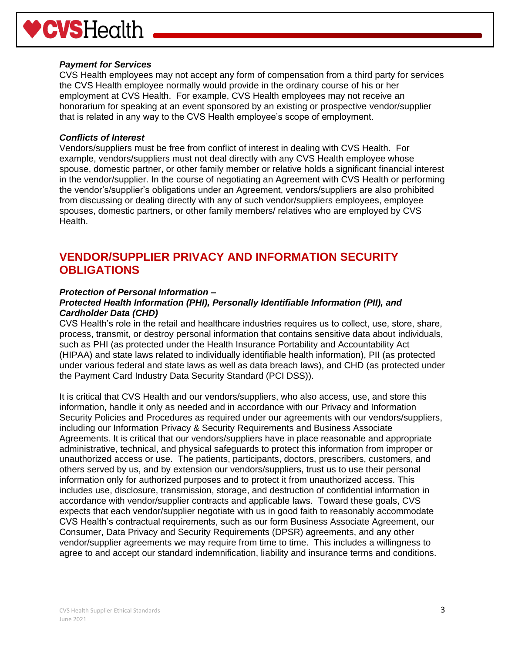# **WSHealth**

#### *Payment for Services*

CVS Health employees may not accept any form of compensation from a third party for services the CVS Health employee normally would provide in the ordinary course of his or her employment at CVS Health. For example, CVS Health employees may not receive an honorarium for speaking at an event sponsored by an existing or prospective vendor/supplier that is related in any way to the CVS Health employee's scope of employment.

#### *Conflicts of Interest*

Vendors/suppliers must be free from conflict of interest in dealing with CVS Health. For example, vendors/suppliers must not deal directly with any CVS Health employee whose spouse, domestic partner, or other family member or relative holds a significant financial interest in the vendor/supplier. In the course of negotiating an Agreement with CVS Health or performing the vendor's/supplier's obligations under an Agreement, vendors/suppliers are also prohibited from discussing or dealing directly with any of such vendor/suppliers employees, employee spouses, domestic partners, or other family members/ relatives who are employed by CVS Health.

## **VENDOR/SUPPLIER PRIVACY AND INFORMATION SECURITY OBLIGATIONS**

#### *Protection of Personal Information –*

#### *Protected Health Information (PHI), Personally Identifiable Information (PII), and Cardholder Data (CHD)*

CVS Health's role in the retail and healthcare industries requires us to collect, use, store, share, process, transmit, or destroy personal information that contains sensitive data about individuals, such as PHI (as protected under the Health Insurance Portability and Accountability Act (HIPAA) and state laws related to individually identifiable health information), PII (as protected under various federal and state laws as well as data breach laws), and CHD (as protected under the Payment Card Industry Data Security Standard (PCI DSS)).

It is critical that CVS Health and our vendors/suppliers, who also access, use, and store this information, handle it only as needed and in accordance with our Privacy and Information Security Policies and Procedures as required under our agreements with our vendors/suppliers, including our Information Privacy & Security Requirements and Business Associate Agreements. It is critical that our vendors/suppliers have in place reasonable and appropriate administrative, technical, and physical safeguards to protect this information from improper or unauthorized access or use. The patients, participants, doctors, prescribers, customers, and others served by us, and by extension our vendors/suppliers, trust us to use their personal information only for authorized purposes and to protect it from unauthorized access. This includes use, disclosure, transmission, storage, and destruction of confidential information in accordance with vendor/supplier contracts and applicable laws. Toward these goals, CVS expects that each vendor/supplier negotiate with us in good faith to reasonably accommodate CVS Health's contractual requirements, such as our form Business Associate Agreement, our Consumer, Data Privacy and Security Requirements (DPSR) agreements, and any other vendor/supplier agreements we may require from time to time. This includes a willingness to agree to and accept our standard indemnification, liability and insurance terms and conditions.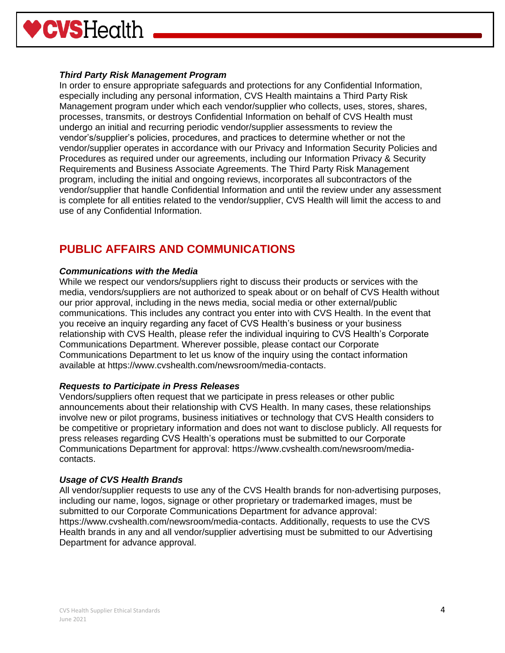

#### *Third Party Risk Management Program*

In order to ensure appropriate safeguards and protections for any Confidential Information, especially including any personal information, CVS Health maintains a Third Party Risk Management program under which each vendor/supplier who collects, uses, stores, shares, processes, transmits, or destroys Confidential Information on behalf of CVS Health must undergo an initial and recurring periodic vendor/supplier assessments to review the vendor's/supplier's policies, procedures, and practices to determine whether or not the vendor/supplier operates in accordance with our Privacy and Information Security Policies and Procedures as required under our agreements, including our Information Privacy & Security Requirements and Business Associate Agreements. The Third Party Risk Management program, including the initial and ongoing reviews, incorporates all subcontractors of the vendor/supplier that handle Confidential Information and until the review under any assessment is complete for all entities related to the vendor/supplier, CVS Health will limit the access to and use of any Confidential Information.

## **PUBLIC AFFAIRS AND COMMUNICATIONS**

#### *Communications with the Media*

While we respect our vendors/suppliers right to discuss their products or services with the media, vendors/suppliers are not authorized to speak about or on behalf of CVS Health without our prior approval, including in the news media, social media or other external/public communications. This includes any contract you enter into with CVS Health. In the event that you receive an inquiry regarding any facet of CVS Health's business or your business relationship with CVS Health, please refer the individual inquiring to CVS Health's Corporate Communications Department. Wherever possible, please contact our Corporate Communications Department to let us know of the inquiry using the contact information available at https://www.cvshealth.com/newsroom/media-contacts.

#### *Requests to Participate in Press Releases*

Vendors/suppliers often request that we participate in press releases or other public announcements about their relationship with CVS Health. In many cases, these relationships involve new or pilot programs, business initiatives or technology that CVS Health considers to be competitive or proprietary information and does not want to disclose publicly. All requests for press releases regarding CVS Health's operations must be submitted to our Corporate Communications Department for approval: https://www.cvshealth.com/newsroom/mediacontacts.

#### *Usage of CVS Health Brands*

All vendor/supplier requests to use any of the CVS Health brands for non-advertising purposes, including our name, logos, signage or other proprietary or trademarked images, must be submitted to our Corporate Communications Department for advance approval: https://www.cvshealth.com/newsroom/media-contacts. Additionally, requests to use the CVS Health brands in any and all vendor/supplier advertising must be submitted to our Advertising Department for advance approval.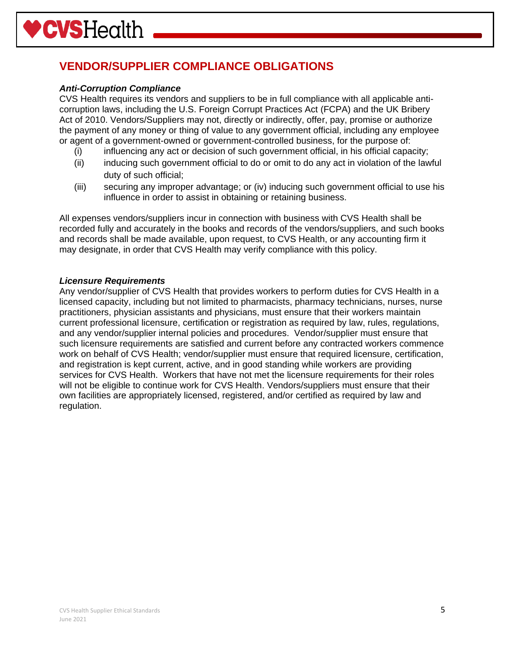# **VENDOR/SUPPLIER COMPLIANCE OBLIGATIONS**

#### *Anti-Corruption Compliance*

CVS Health requires its vendors and suppliers to be in full compliance with all applicable anticorruption laws, including the U.S. Foreign Corrupt Practices Act (FCPA) and the UK Bribery Act of 2010. Vendors/Suppliers may not, directly or indirectly, offer, pay, promise or authorize the payment of any money or thing of value to any government official, including any employee or agent of a government-owned or government-controlled business, for the purpose of:

- (i) influencing any act or decision of such government official, in his official capacity;
- (ii) inducing such government official to do or omit to do any act in violation of the lawful duty of such official;
- (iii) securing any improper advantage; or (iv) inducing such government official to use his influence in order to assist in obtaining or retaining business.

All expenses vendors/suppliers incur in connection with business with CVS Health shall be recorded fully and accurately in the books and records of the vendors/suppliers, and such books and records shall be made available, upon request, to CVS Health, or any accounting firm it may designate, in order that CVS Health may verify compliance with this policy.

#### *Licensure Requirements*

Any vendor/supplier of CVS Health that provides workers to perform duties for CVS Health in a licensed capacity, including but not limited to pharmacists, pharmacy technicians, nurses, nurse practitioners, physician assistants and physicians, must ensure that their workers maintain current professional licensure, certification or registration as required by law, rules, regulations, and any vendor/supplier internal policies and procedures. Vendor/supplier must ensure that such licensure requirements are satisfied and current before any contracted workers commence work on behalf of CVS Health; vendor/supplier must ensure that required licensure, certification, and registration is kept current, active, and in good standing while workers are providing services for CVS Health. Workers that have not met the licensure requirements for their roles will not be eligible to continue work for CVS Health. Vendors/suppliers must ensure that their own facilities are appropriately licensed, registered, and/or certified as required by law and regulation.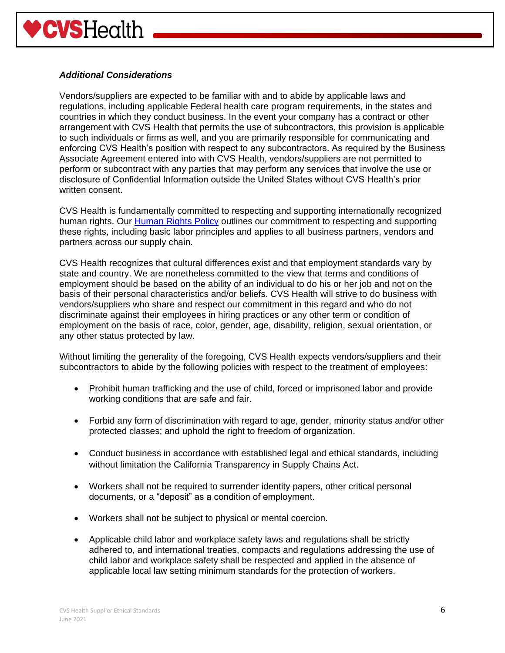#### *Additional Considerations*

Vendors/suppliers are expected to be familiar with and to abide by applicable laws and regulations, including applicable Federal health care program requirements, in the states and countries in which they conduct business. In the event your company has a contract or other arrangement with CVS Health that permits the use of subcontractors, this provision is applicable to such individuals or firms as well, and you are primarily responsible for communicating and enforcing CVS Health's position with respect to any subcontractors. As required by the Business Associate Agreement entered into with CVS Health, vendors/suppliers are not permitted to perform or subcontract with any parties that may perform any services that involve the use or disclosure of Confidential Information outside the United States without CVS Health's prior written consent.

CVS Health is fundamentally committed to respecting and supporting internationally recognized human rights. Our [Human Rights Policy](https://cvshealth.com/sites/default/files/cvs-health-human-rights-policy.pdf) outlines our commitment to respecting and supporting these rights, including basic labor principles and applies to all business partners, vendors and partners across our supply chain.

CVS Health recognizes that cultural differences exist and that employment standards vary by state and country. We are nonetheless committed to the view that terms and conditions of employment should be based on the ability of an individual to do his or her job and not on the basis of their personal characteristics and/or beliefs. CVS Health will strive to do business with vendors/suppliers who share and respect our commitment in this regard and who do not discriminate against their employees in hiring practices or any other term or condition of employment on the basis of race, color, gender, age, disability, religion, sexual orientation, or any other status protected by law.

Without limiting the generality of the foregoing, CVS Health expects vendors/suppliers and their subcontractors to abide by the following policies with respect to the treatment of employees:

- Prohibit human trafficking and the use of child, forced or imprisoned labor and provide working conditions that are safe and fair.
- Forbid any form of discrimination with regard to age, gender, minority status and/or other protected classes; and uphold the right to freedom of organization.
- Conduct business in accordance with established legal and ethical standards, including without limitation the California Transparency in Supply Chains Act.
- Workers shall not be required to surrender identity papers, other critical personal documents, or a "deposit" as a condition of employment.
- Workers shall not be subject to physical or mental coercion.
- Applicable child labor and workplace safety laws and regulations shall be strictly adhered to, and international treaties, compacts and regulations addressing the use of child labor and workplace safety shall be respected and applied in the absence of applicable local law setting minimum standards for the protection of workers.